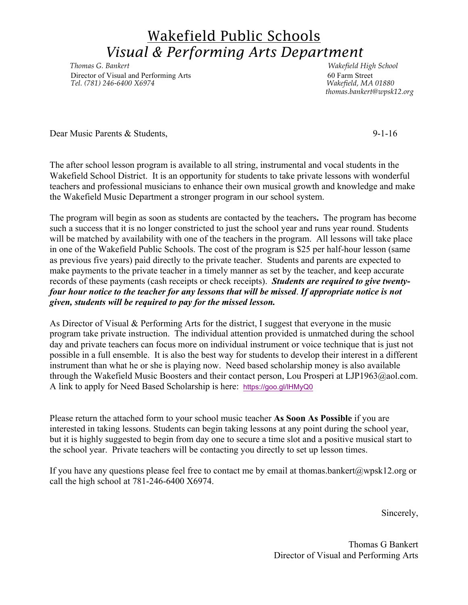## Wakefield Public Schools *Visual & Performing Arts Department*

*Thomas G. Bankert Wakefield High School Director of Visual and Performing Arts* 60 Farm Street<br> *Tel.* (781) 246-6400 X6974<br> *Makefield, MA* 01880  *Tel. (781) 246-6400 X6974 Wakefield, MA 01880*

 *thomas.bankert@wpsk12.org*

Dear Music Parents & Students, 9-1-16

The after school lesson program is available to all string, instrumental and vocal students in the Wakefield School District. It is an opportunity for students to take private lessons with wonderful teachers and professional musicians to enhance their own musical growth and knowledge and make the Wakefield Music Department a stronger program in our school system.

The program will begin as soon as students are contacted by the teachers**.** The program has become such a success that it is no longer constricted to just the school year and runs year round. Students will be matched by availability with one of the teachers in the program. All lessons will take place in one of the Wakefield Public Schools. The cost of the program is \$25 per half-hour lesson (same as previous five years) paid directly to the private teacher. Students and parents are expected to make payments to the private teacher in a timely manner as set by the teacher, and keep accurate records of these payments (cash receipts or check receipts). *Students are required to give twentyfour hour notice to the teacher for any lessons that will be missed*. *If appropriate notice is not given, students will be required to pay for the missed lesson.*

As Director of Visual & Performing Arts for the district, I suggest that everyone in the music program take private instruction. The individual attention provided is unmatched during the school day and private teachers can focus more on individual instrument or voice technique that is just not possible in a full ensemble. It is also the best way for students to develop their interest in a different instrument than what he or she is playing now. Need based scholarship money is also available through the Wakefield Music Boosters and their contact person, Lou Prosperi at LJP1963@aol.com. A link to apply for Need Based Scholarship is here: https://goo.gl/lHMyQ0

Please return the attached form to your school music teacher **As Soon As Possible** if you are interested in taking lessons. Students can begin taking lessons at any point during the school year, but it is highly suggested to begin from day one to secure a time slot and a positive musical start to the school year. Private teachers will be contacting you directly to set up lesson times.

If you have any questions please feel free to contact me by email at thomas.bankert@wpsk12.org or call the high school at 781-246-6400 X6974.

Sincerely,

Thomas G Bankert Director of Visual and Performing Arts